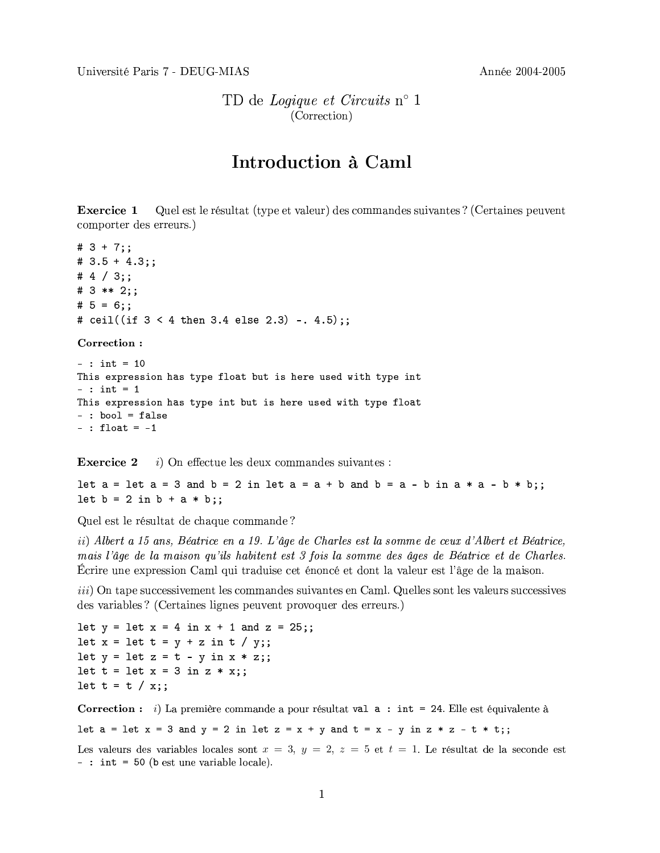TD de Logique et Circuits n° 1 (Correction)

## Introduction à Caml

**Exercice 1** Quel est le résultat (type et valeur) des commandes suivantes ? (Certaines peuvent comporter des erreurs.)

#  $3 + 7$  ::  $# 3.5 + 4.3;$ # 4  $/$  3;; #  $3$  \*\* 2;; #  $5 = 6$ ;; # ceil((if  $3 < 4$  then  $3.4$  else  $2.3$ ) -.  $4.5$ );;

Correction:

 $-$  : int = 10 This expression has type float but is here used with type int  $-$  : int = 1 This expression has type int but is here used with type float  $-$  : bool = false  $-$  : float =  $-1$ 

 $i)$  On effectue les deux commandes suivantes : **Exercice 2** 

let  $a =$  let  $a = 3$  and  $b = 2$  in let  $a = a + b$  and  $b = a - b$  in  $a * a - b * b$ ; let  $b = 2$  in  $b + a * b$ ;;

Quel est le résultat de chaque commande?

ii) Albert a 15 ans, Béatrice en a 19. L'âge de Charles est la somme de ceux d'Albert et Béatrice, mais l'âge de la maison qu'ils habitent est 3 fois la somme des âges de Béatrice et de Charles. Ecrire une expression Caml qui traduise cet énoncé et dont la valeur est l'âge de la maison.

*iii*) On tape successivement les commandes suivantes en Caml. Quelles sont les valeurs successives des variables? (Certaines lignes peuvent provoquer des erreurs.)

```
let y = \text{let } x = 4 \text{ in } x + 1 \text{ and } z = 25;
let x = \text{let } t = y + z \text{ in } t / y;;
let y = \text{let } z = t - y \text{ in } x * z;;
let t = \text{let } x = 3 \text{ in } z * x;let t = t / x;;
```
**Correction**: i) La première commande a pour résultat val a : int = 24. Elle est équivalente à

let  $a = \text{let } x = 3$  and  $y = 2$  in let  $z = x + y$  and  $t = x - y$  in  $z * z - t * t$ ;

Les valeurs des variables locales sont  $x = 3$ ,  $y = 2$ ,  $z = 5$  et  $t = 1$ . Le résultat de la seconde est  $-$ : int = 50 (b est une variable locale).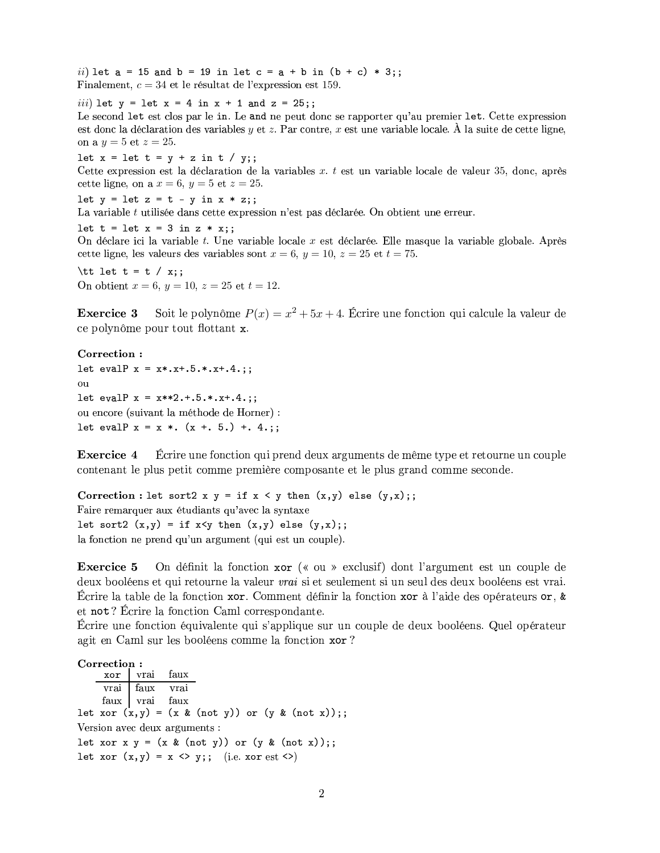*ii*) let  $a = 15$  and  $b = 19$  in let  $c = a + b$  in  $(b + c) * 3$ ; Finalement,  $c = 34$  et le résultat de l'expression est 159.

*iii*) let  $y = \text{let } x = 4 \text{ in } x + 1 \text{ and } z = 25;$ Le second let est clos par le in. Le and ne peut donc se rapporter qu'au premier let. Cette expression est donc la déclaration des variables  $y$  et  $z$ . Par contre,  $x$  est une variable locale. À la suite de cette ligne, on a  $y = 5$  et  $z = 25$ .

let  $x = \text{let } t = y + z \text{ in } t / y;$ Cette expression est la déclaration de la variables  $x$ .  $t$  est un variable locale de valeur 35, donc, après cette ligne, on a  $x = 6$ ,  $y = 5$  et  $z = 25$ .

let  $y =$  let  $z = t - y$  in  $x * z$ ;;

La variable  $t$  utilisée dans cette expression n'est pas déclarée. On obtient une erreur.

let  $t = \text{let } x = 3 \text{ in } z \times x$ ; On déclare ici la variable t. Une variable locale x est déclarée. Elle masque la variable globale. Après cette ligne, les valeurs des variables sont  $x = 6$ ,  $y = 10$ ,  $z = 25$  et  $t = 75$ .

\tt let t = t / x;; On obtient  $x = 6$ ,  $y = 10$ ,  $z = 25$  et  $t = 12$ .

Soit le polynôme  $P(x) = x^2 + 5x + 4$ . Écrire une fonction qui calcule la valeur de Exercice 3 ce polynôme pour tout flottant x.

Correction: let evalP  $x = x*.x+.5.*.x+.4.$ ;;  $\Omega$ 11 let evalP  $x = x**2.+5.*. x+.4.$ ; ou encore (suivant la méthode de Horner) : let evalP  $x = x *. (x +. 5.) +. 4.$ ;

**Exercice 4** Écrire une fonction qui prend deux arguments de même type et retourne un couple contenant le plus petit comme première composante et le plus grand comme seconde.

Correction : let sort2 x  $y = if x < y then (x,y) else (y,x);$ Faire remarquer aux étudiants qu'avec la syntaxe let sort2  $(x,y) = if x < y then (x,y) else (y,x);$ la fonction ne prend qu'un argument (qui est un couple).

On définit la fonction xor (« ou » exclusif) dont l'argument est un couple de **Exercice 5** deux booléens et qui retourne la valeur *vrai* si et seulement si un seul des deux booléens est vrai. Écrire la table de la fonction xor. Comment définir la fonction xor à l'aide des opérateurs or, & et not? Écrire la fonction Caml correspondante.

Écrire une fonction équivalente qui s'applique sur un couple de deux booléens. Quel opérateur agit en Caml sur les booléens comme la fonction xor?

Correction: faux vrai xor faux vrai vrai faux vrai faux let xor  $(x,y) = (x \& (not y))$  or  $(y \& (not x));$ Version avec deux arguments : let xor x  $y = (x \& (not y))$  or  $(y \& (not x));$ let xor  $(x,y) = x \Leftrightarrow y$ ; (i.e. xor est <>)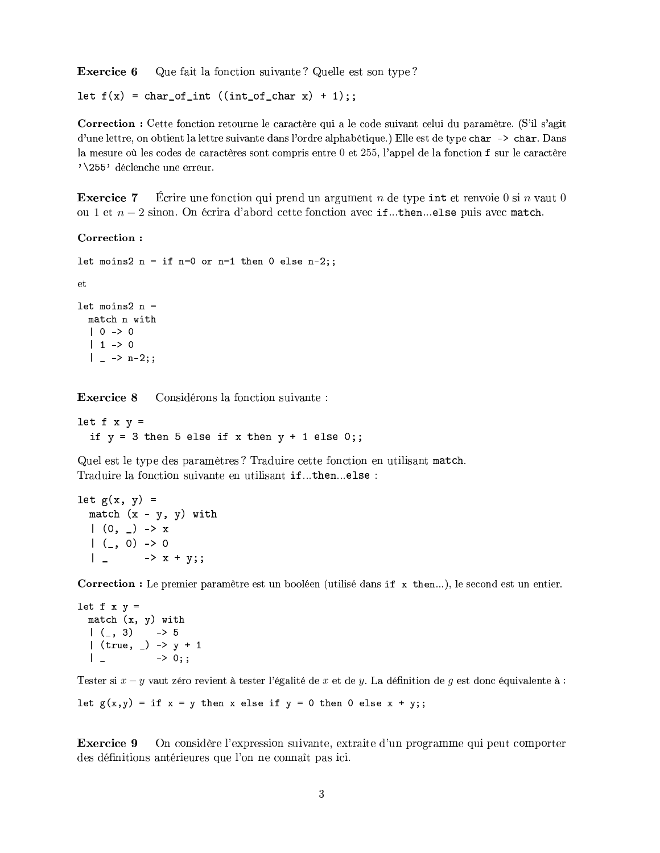Exercice 6 Que fait la fonction suivante? Quelle est son type?

let  $f(x) = char_of(int ((int_of(char x) + 1));$ 

Correction : Cette fonction retourne le caractère qui a le code suivant celui du paramètre. (S'il s'agit d'une lettre, on obtient la lettre suivante dans l'ordre alphabétique.) Elle est de type char -> char. Dans la mesure où les codes de caractères sont compris entre 0 et 255, l'appel de la fonction f sur le caractère '\255' déclenche une erreur.

**Exercice 7** Ecrire une fonction qui prend un argument n de type int et renvoie  $0 \sin n$  vaut  $0$ ou 1 et  $n-2$  sinon. On écrira d'abord cette fonction avec if...then...else puis avec match.

## Correction:

```
let moins2 n = if n=0 or n=1 then 0 else n-2;
et
let moins2 n =match n with
  | 0 -> 0| 1 \rangle 0
  | \rightarrow n-2;;
```
**Exercice 8** Considérons la fonction suivante :

let  $f \times y =$ if  $y = 3$  then 5 else if x then  $y + 1$  else 0;;

Quel est le type des paramètres? Traduire cette fonction en utilisant match. Traduire la fonction suivante en utilisant if...then...else :

```
let g(x, y) =match (x - y, y) with
 (0, 2) \rightarrow x(, 0) -> 0
  | - > x + y;;
```
Correction : Le premier paramètre est un booléen (utilisé dans if x then...), le second est un entier.

```
let f \times y =match (x, y) with
  |(-, 3)|\rightarrow 5
  | (true, _) -> y + 1\rightarrow 0;;
  \perp
```
Tester si  $x - y$  vaut zéro revient à tester l'égalité de x et de y. La définition de g est donc équivalente à :

let  $g(x, y) = if x = y then x else if y = 0 then 0 else x + y;$ ;

**Exercice 9** On considère l'expression suivante, extraite d'un programme qui peut comporter des définitions antérieures que l'on ne connaît pas ici.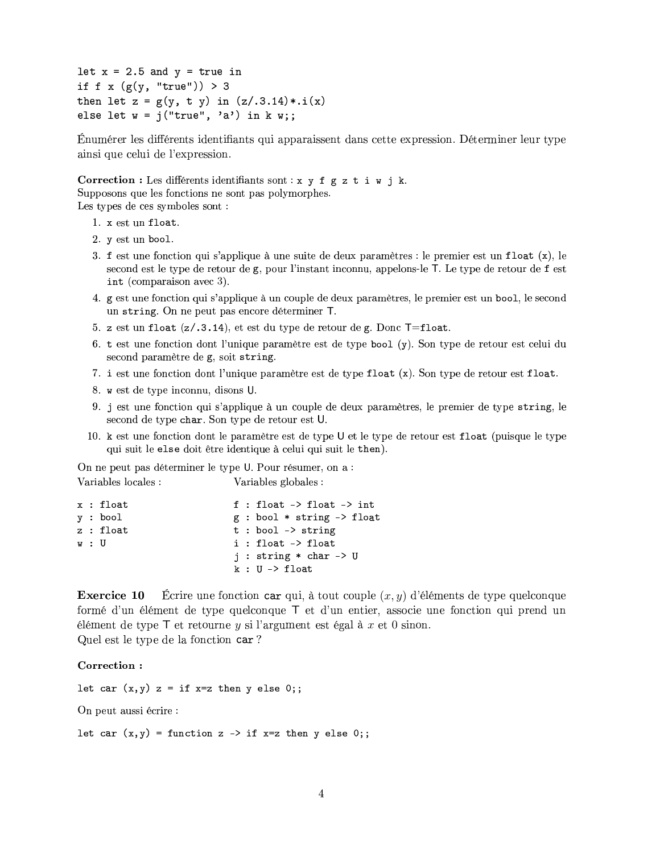let  $x = 2.5$  and  $y = true$  in if f x  $(g(y, "true")) > 3$ then let  $z = g(y, t, y)$  in  $(z/.3.14) * .i(x)$ else let  $w = j("true", 'a")$  in k w;;

Énumérer les différents identifiants qui apparaissent dans cette expression. Déterminer leur type ainsi que celui de l'expression.

Correction : Les différents identifiants sont :  $x \ y \ f \ g \ z \ t \ i \ w \ j \ k.$ Supposons que les fonctions ne sont pas polymorphes.

Les types de ces symboles sont :

- 1. x est un float.
- 2. v est un bool.
- 3. f est une fonction qui s'applique à une suite de deux paramètres : le premier est un float  $(x)$ , le second est le type de retour de g, pour l'instant inconnu, appelons-le T. Le type de retour de f est int (comparaison avec 3).
- 4. g est une fonction qui s'applique à un couple de deux paramètres, le premier est un bool, le second un string. On ne peut pas encore déterminer T.
- 5. z est un float  $(z/0.3.14)$ , et est du type de retour de g. Donc  $T =$ float.
- 6. t est une fonction dont l'unique paramètre est de type bool (y). Son type de retour est celui du second paramètre de g, soit string.
- 7. i est une fonction dont l'unique paramètre est de type float (x). Son type de retour est float.
- 8. w est de type inconnu, disons U.
- 9. j est une fonction qui s'applique à un couple de deux paramètres, le premier de type string, le second de type char. Son type de retour est U.
- 10. k est une fonction dont le paramètre est de type U et le type de retour est float (puisque le type qui suit le else doit être identique à celui qui suit le then).

On ne peut pas déterminer le type U. Pour résumer, on a : Variables locales : Variables globales :

|     | x : float |  | $f : float \rightarrow float \rightarrow int$ |
|-----|-----------|--|-----------------------------------------------|
|     | v : bool  |  | $g$ : bool * string -> float                  |
|     | z : float |  | $t : bool \rightarrow string$                 |
| w:U |           |  | i : float -> float                            |
|     |           |  | $i:$ string $*$ char $\rightarrow$ U          |
|     |           |  | k : U -> float                                |

Écrire une fonction car qui, à tout couple  $(x, y)$  d'éléments de type quelconque **Exercice 10** formé d'un élément de type quelconque T et d'un entier, associe une fonction qui prend un élément de type  $\top$  et retourne  $y$  si l'argument est égal à  $x$  et 0 sinon. Quel est le type de la fonction car?

## Correction:

```
let car (x,y) z = if x=z then y else 0;;
On peut aussi écrire :
let car (x, y) = function z -> if x=z then y else 0;;
```